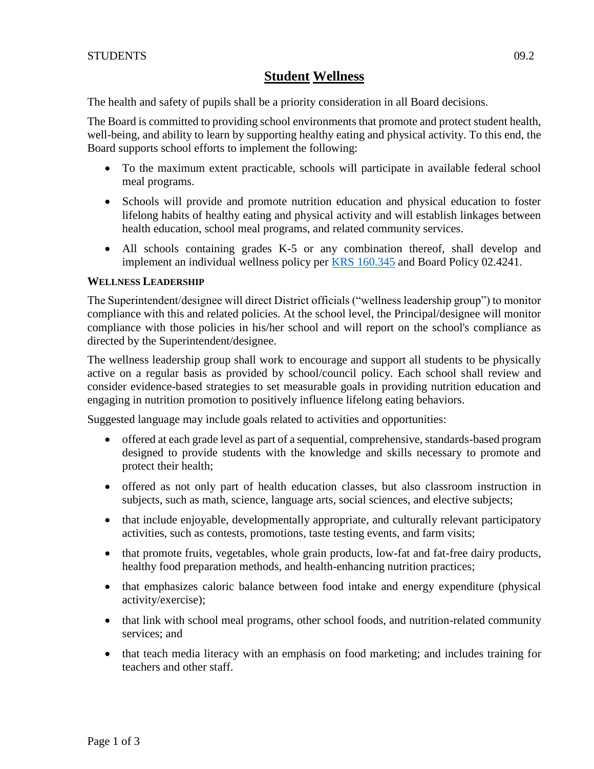# **Student Wellness**

The health and safety of pupils shall be a priority consideration in all Board decisions.

The Board is committed to providing school environments that promote and protect student health, well-being, and ability to learn by supporting healthy eating and physical activity. To this end, the Board supports school efforts to implement the following:

- To the maximum extent practicable, schools will participate in available federal school meal programs.
- Schools will provide and promote nutrition education and physical education to foster lifelong habits of healthy eating and physical activity and will establish linkages between health education, school meal programs, and related community services.
- All schools containing grades K-5 or any combination thereof, shall develop and implement an individual wellness policy per [KRS 160.345](http://policy.ksba.org/DocumentManager.aspx?requestarticle=/KRS/160-00/345.pdf&requesttype=krs) and Board Policy 02.4241.

### **WELLNESS LEADERSHIP**

The Superintendent/designee will direct District officials ("wellness leadership group") to monitor compliance with this and related policies. At the school level, the Principal/designee will monitor compliance with those policies in his/her school and will report on the school's compliance as directed by the Superintendent/designee.

The wellness leadership group shall work to encourage and support all students to be physically active on a regular basis as provided by school/council policy. Each school shall review and consider evidence-based strategies to set measurable goals in providing nutrition education and engaging in nutrition promotion to positively influence lifelong eating behaviors.

Suggested language may include goals related to activities and opportunities:

- offered at each grade level as part of a sequential, comprehensive, standards-based program designed to provide students with the knowledge and skills necessary to promote and protect their health;
- offered as not only part of health education classes, but also classroom instruction in subjects, such as math, science, language arts, social sciences, and elective subjects;
- that include enjoyable, developmentally appropriate, and culturally relevant participatory activities, such as contests, promotions, taste testing events, and farm visits;
- that promote fruits, vegetables, whole grain products, low-fat and fat-free dairy products, healthy food preparation methods, and health-enhancing nutrition practices;
- that emphasizes caloric balance between food intake and energy expenditure (physical activity/exercise);
- that link with school meal programs, other school foods, and nutrition-related community services; and
- that teach media literacy with an emphasis on food marketing; and includes training for teachers and other staff.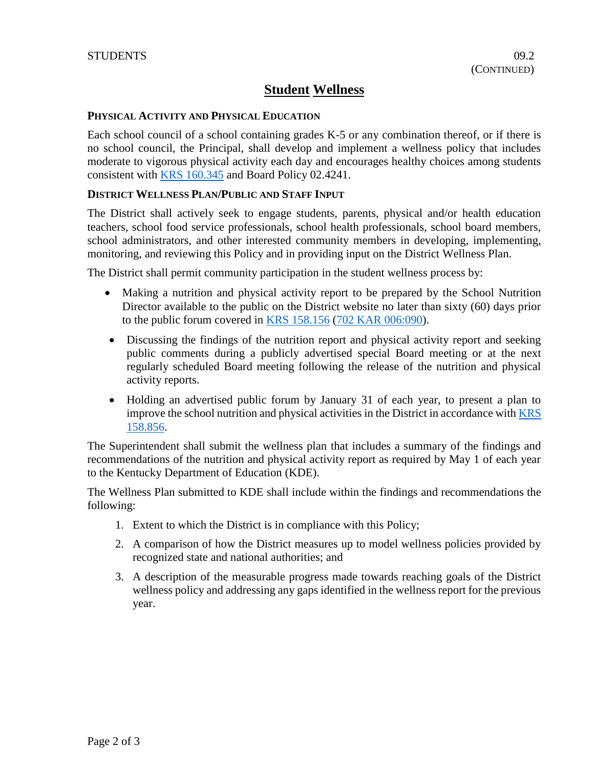# **Student Wellness**

### **PHYSICAL ACTIVITY AND PHYSICAL EDUCATION**

Each school council of a school containing grades K-5 or any combination thereof, or if there is no school council, the Principal, shall develop and implement a wellness policy that includes moderate to vigorous physical activity each day and encourages healthy choices among students consistent with [KRS 160.345](http://policy.ksba.org/DocumentManager.aspx?requestarticle=/KRS/160-00/345.pdf&requesttype=krs) and Board Policy 02.4241.

#### **DISTRICT WELLNESS PLAN/PUBLIC AND STAFF INPUT**

The District shall actively seek to engage students, parents, physical and/or health education teachers, school food service professionals, school health professionals, school board members, school administrators, and other interested community members in developing, implementing, monitoring, and reviewing this Policy and in providing input on the District Wellness Plan.

The District shall permit community participation in the student wellness process by:

- Making a nutrition and physical activity report to be prepared by the School Nutrition Director available to the public on the District website no later than sixty (60) days prior to the public forum covered in [KRS 158.156](http://policy.ksba.org/DocumentManager.aspx?requestarticle=/KRS/158-00/156.pdf&requesttype=krs) [\(702 KAR 006:090\)](http://policy.ksba.org/documentmanager.aspx?requestarticle=/kar/702/006/090.htm&requesttype=kar).
- Discussing the findings of the nutrition report and physical activity report and seeking public comments during a publicly advertised special Board meeting or at the next regularly scheduled Board meeting following the release of the nutrition and physical activity reports.
- Holding an advertised public forum by January 31 of each year, to present a plan to improve the school nutrition and physical activities in the District in accordance with **KRS** [158.856.](http://policy.ksba.org/DocumentManager.aspx?requestarticle=/KRS/158-00/856.pdf&requesttype=krs)

The Superintendent shall submit the wellness plan that includes a summary of the findings and recommendations of the nutrition and physical activity report as required by May 1 of each year to the Kentucky Department of Education (KDE).

The Wellness Plan submitted to KDE shall include within the findings and recommendations the following:

- 1. Extent to which the District is in compliance with this Policy;
- 2. A comparison of how the District measures up to model wellness policies provided by recognized state and national authorities; and
- 3. A description of the measurable progress made towards reaching goals of the District wellness policy and addressing any gaps identified in the wellness report for the previous year.